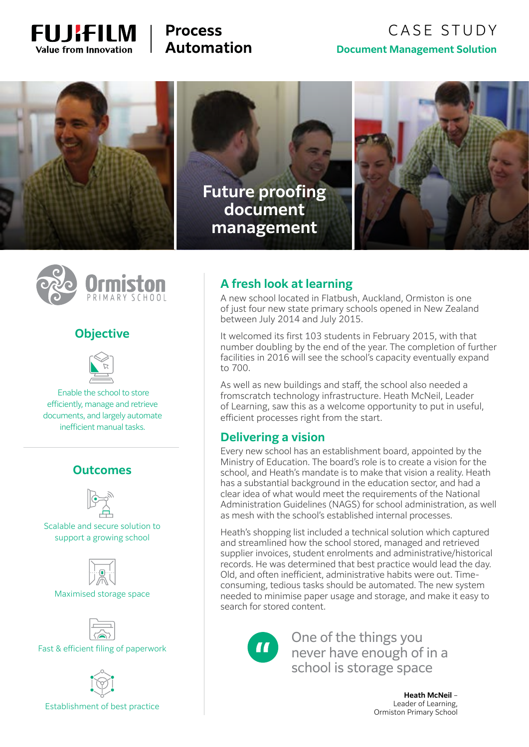

# **Process Automation**

# CASE STUDY **Document Management Solution**



**Future proofing document management**





## **Objective**



 Enable the school to store efficiently, manage and retrieve documents, and largely automate inefficient manual tasks.

### **Outcomes**



Scalable and secure solution to support a growing school



Maximised storage space



Fast & efficient filing of paperwork



Establishment of best practice

## **A fresh look at learning**

A new school located in Flatbush, Auckland, Ormiston is one of just four new state primary schools opened in New Zealand between July 2014 and July 2015.

It welcomed its first 103 students in February 2015, with that number doubling by the end of the year. The completion of further facilities in 2016 will see the school's capacity eventually expand to 700.

As well as new buildings and staff, the school also needed a fromscratch technology infrastructure. Heath McNeil, Leader of Learning, saw this as a welcome opportunity to put in useful, efficient processes right from the start.

### **Delivering a vision**

Every new school has an establishment board, appointed by the Ministry of Education. The board's role is to create a vision for the school, and Heath's mandate is to make that vision a reality. Heath has a substantial background in the education sector, and had a clear idea of what would meet the requirements of the National Administration Guidelines (NAGS) for school administration, as well as mesh with the school's established internal processes.

Heath's shopping list included a technical solution which captured and streamlined how the school stored, managed and retrieved supplier invoices, student enrolments and administrative/historical records. He was determined that best practice would lead the day. Old, and often inefficient, administrative habits were out. Timeconsuming, tedious tasks should be automated. The new system needed to minimise paper usage and storage, and make it easy to search for stored content.



One of the things you never have enough of in a school is storage space

> **Heath McNeil** – Leader of Learning, Ormiston Primary School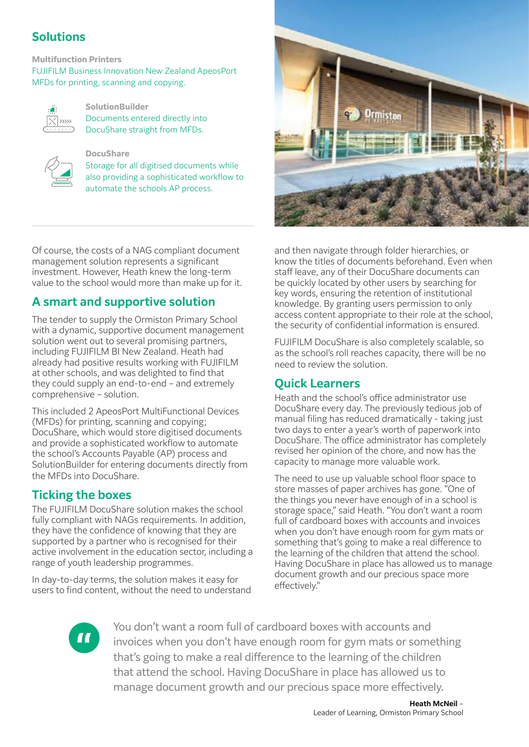# **Solutions**

### **Multifunction Printers**

FUJIFILM Business Innovation New Zealand ApeosPort MFDs for printing, scanning and copying.



### **SolutionBuilder**

Documents entered directly into DocuShare straight from MFDs.



**DocuShare**

Storage for all digitised documents while also providing a sophisticated workflow to automate the schools AP process.

Of course, the costs of a NAG compliant document management solution represents a significant investment. However, Heath knew the long-term value to the school would more than make up for it.

# **A smart and supportive solution**

The tender to supply the Ormiston Primary School with a dynamic, supportive document management solution went out to several promising partners, including FUJIFILM BI New Zealand. Heath had already had positive results working with FUJIFILM at other schools, and was delighted to find that they could supply an end-to-end – and extremely comprehensive – solution.

This included 2 ApeosPort MultiFunctional Devices (MFDs) for printing, scanning and copying; DocuShare, which would store digitised documents and provide a sophisticated workflow to automate the school's Accounts Payable (AP) process and SolutionBuilder for entering documents directly from the MFDs into DocuShare.

## **Ticking the boxes**

The FUJIFILM DocuShare solution makes the school fully compliant with NAGs requirements. In addition, they have the confidence of knowing that they are supported by a partner who is recognised for their active involvement in the education sector, including a range of youth leadership programmes.

In day-to-day terms, the solution makes it easy for users to find content, without the need to understand



and then navigate through folder hierarchies, or know the titles of documents beforehand. Even when staff leave, any of their DocuShare documents can be quickly located by other users by searching for key words, ensuring the retention of institutional knowledge. By granting users permission to only access content appropriate to their role at the school, the security of confidential information is ensured.

FUJIFILM DocuShare is also completely scalable, so as the school's roll reaches capacity, there will be no need to review the solution.

### **Quick Learners**

Heath and the school's office administrator use DocuShare every day. The previously tedious job of manual filing has reduced dramatically - taking just two days to enter a year's worth of paperwork into DocuShare. The office administrator has completely revised her opinion of the chore, and now has the capacity to manage more valuable work.

The need to use up valuable school floor space to store masses of paper archives has gone. "One of the things you never have enough of in a school is storage space," said Heath. "You don't want a room full of cardboard boxes with accounts and invoices when you don't have enough room for gym mats or something that's going to make a real difference to the learning of the children that attend the school. Having DocuShare in place has allowed us to manage document growth and our precious space more effectively."



You don't want a room full of cardboard boxes with accounts and invoices when you don't have enough room for gym mats or something that's going to make a real difference to the learning of the children that attend the school. Having DocuShare in place has allowed us to manage document growth and our precious space more effectively.